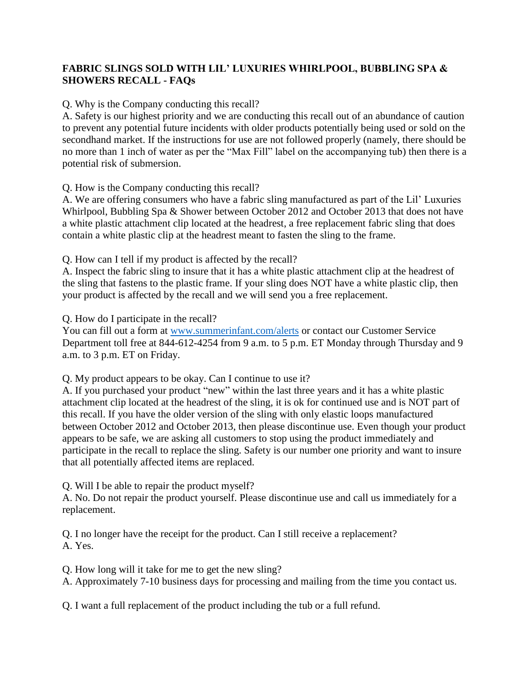## **FABRIC SLINGS SOLD WITH LIL' LUXURIES WHIRLPOOL, BUBBLING SPA & SHOWERS RECALL - FAQs**

## Q. Why is the Company conducting this recall?

A. Safety is our highest priority and we are conducting this recall out of an abundance of caution to prevent any potential future incidents with older products potentially being used or sold on the secondhand market. If the instructions for use are not followed properly (namely, there should be no more than 1 inch of water as per the "Max Fill" label on the accompanying tub) then there is a potential risk of submersion.

Q. How is the Company conducting this recall?

A. We are offering consumers who have a fabric sling manufactured as part of the Lil' Luxuries Whirlpool, Bubbling Spa & Shower between October 2012 and October 2013 that does not have a white plastic attachment clip located at the headrest, a free replacement fabric sling that does contain a white plastic clip at the headrest meant to fasten the sling to the frame.

Q. How can I tell if my product is affected by the recall?

A. Inspect the fabric sling to insure that it has a white plastic attachment clip at the headrest of the sling that fastens to the plastic frame. If your sling does NOT have a white plastic clip, then your product is affected by the recall and we will send you a free replacement.

Q. How do I participate in the recall?

You can fill out a form at [www.summerinfant.com/alerts](http://www.summerinfant.com/alerts) or contact our Customer Service Department toll free at 844-612-4254 from 9 a.m. to 5 p.m. ET Monday through Thursday and 9 a.m. to 3 p.m. ET on Friday.

Q. My product appears to be okay. Can I continue to use it?

A. If you purchased your product "new" within the last three years and it has a white plastic attachment clip located at the headrest of the sling, it is ok for continued use and is NOT part of this recall. If you have the older version of the sling with only elastic loops manufactured between October 2012 and October 2013, then please discontinue use. Even though your product appears to be safe, we are asking all customers to stop using the product immediately and participate in the recall to replace the sling. Safety is our number one priority and want to insure that all potentially affected items are replaced.

Q. Will I be able to repair the product myself?

A. No. Do not repair the product yourself. Please discontinue use and call us immediately for a replacement.

Q. I no longer have the receipt for the product. Can I still receive a replacement? A. Yes.

Q. How long will it take for me to get the new sling?

A. Approximately 7-10 business days for processing and mailing from the time you contact us.

Q. I want a full replacement of the product including the tub or a full refund.